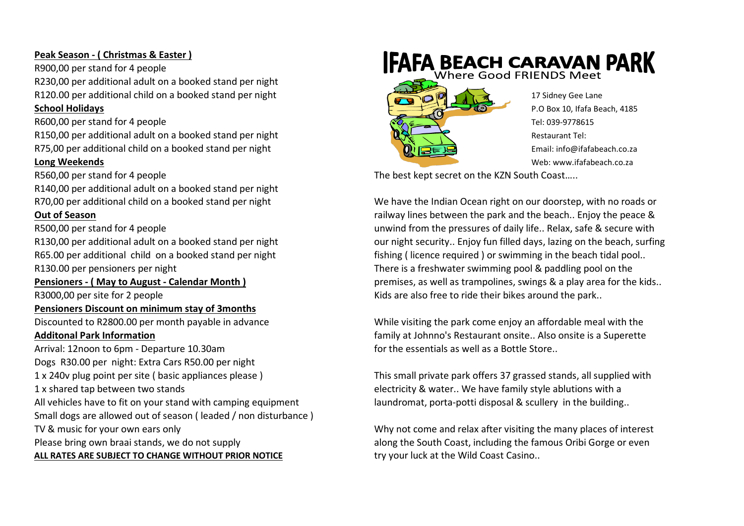# **Peak Season - ( Christmas & Easter )**

R900,00 per stand for 4 people R230,00 per additional adult on a booked stand per night R120.00 per additional child on a booked stand per night 17 Sidney Gee Lane

R150,00 per additional adult on a booked stand per night  $\mathbb{R}$ ,  $\mathbb{R}$ 

R140,00 per additional adult on a booked stand per night

## **Pensioners Discount on minimum stay of 3months**

Arrival: 12noon to 6pm - Departure 10.30am for the essentials as well as a Bottle Store.. Dogs R30.00 per night: Extra Cars R50.00 per night 1 x shared tap between two stands electricity & water.. We have family style ablutions with a All vehicles have to fit on your stand with camping equipment laundromat, porta-potti disposal & scullery in the building.. Small dogs are allowed out of season ( leaded / non disturbance ) ALL RATES ARE SUBJECT TO CHANGE WITHOUT PRIOR NOTICE **the transformation of the Wild Coast Casino..** 



R560,00 per stand for 4 people **The best kept secret on the KZN South Coast** .....

R70,00 per additional child on a booked stand per night We have the Indian Ocean right on our doorstep, with no roads or **Out of Season railway lines between the park and the beach.. Enjoy the peace &** R500,00 per stand for 4 people unwind from the pressures of daily life.. Relax, safe & secure with R130.00 per additional adult on a booked stand per night our night our night security.. Enjoy fun filled days, lazing on the beach, surfing R65.00 per additional child on a booked stand per night fishing (licence required ) or swimming in the beach tidal pool.. R130.00 per pensioners per night There is a freshwater swimming pool & paddling pool on the **Pensioners - ( May to August - Calendar Month )** premises, as well as trampolines, swings & a play area for the kids.. R3000,00 per site for 2 people **Kids are also free to ride their bikes around the park.**.

Discounted to R2800.00 per month payable in advance While visiting the park come enjoy an affordable meal with the Additonal Park Information **Additional Park Information family at Johnno's Restaurant onsite.. Also onsite is a Superette** 

1 x 240v plug point per site ( basic appliances please ) This small private park offers 37 grassed stands, all supplied with

TV & music for your own ears only Why not come and relax after visiting the many places of interest Please bring own braai stands, we do not supply and the South Coast, including the famous Oribi Gorge or even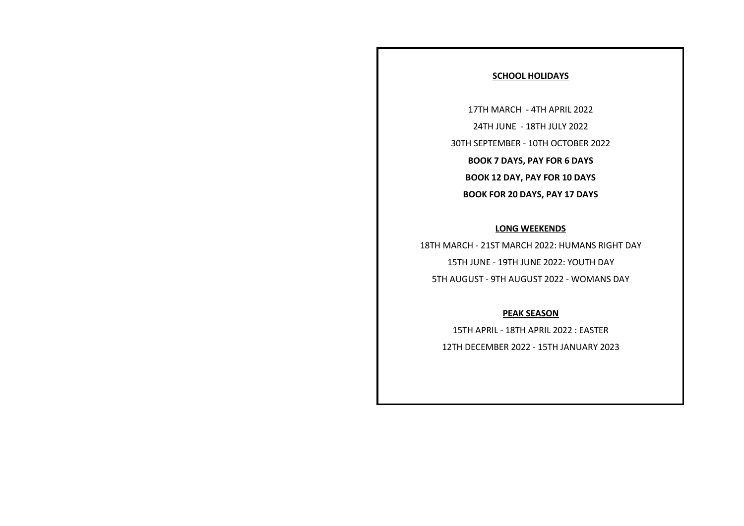## **SCHOOL HOLIDAYS**

17TH MARCH - 4TH APRIL 2022 24TH JUNE - 18TH JULY 2022 30TH SEPTEMBER - 10TH OCTOBER 2022 **BOOK 7 DAYS, PAY FOR 6 DAYS BOOK 12 DAY, PAY FOR 10 DAYS BOOK FOR 20 DAYS, PAY 17 DAYS**

## **LONG WEEKENDS**

18TH MARCH - 21ST MARCH 2022: HUMANS RIGHT DAY 15TH JUNE - 19TH JUNE 2022: YOUTH DAY 5TH AUGUST - 9TH AUGUST 2022 - WOMANS DAY

## **PEAK SEASON**

15TH APRIL - 18TH APRIL 2022 : EASTER 12TH DECEMBER 2022 - 15TH JANUARY 2023